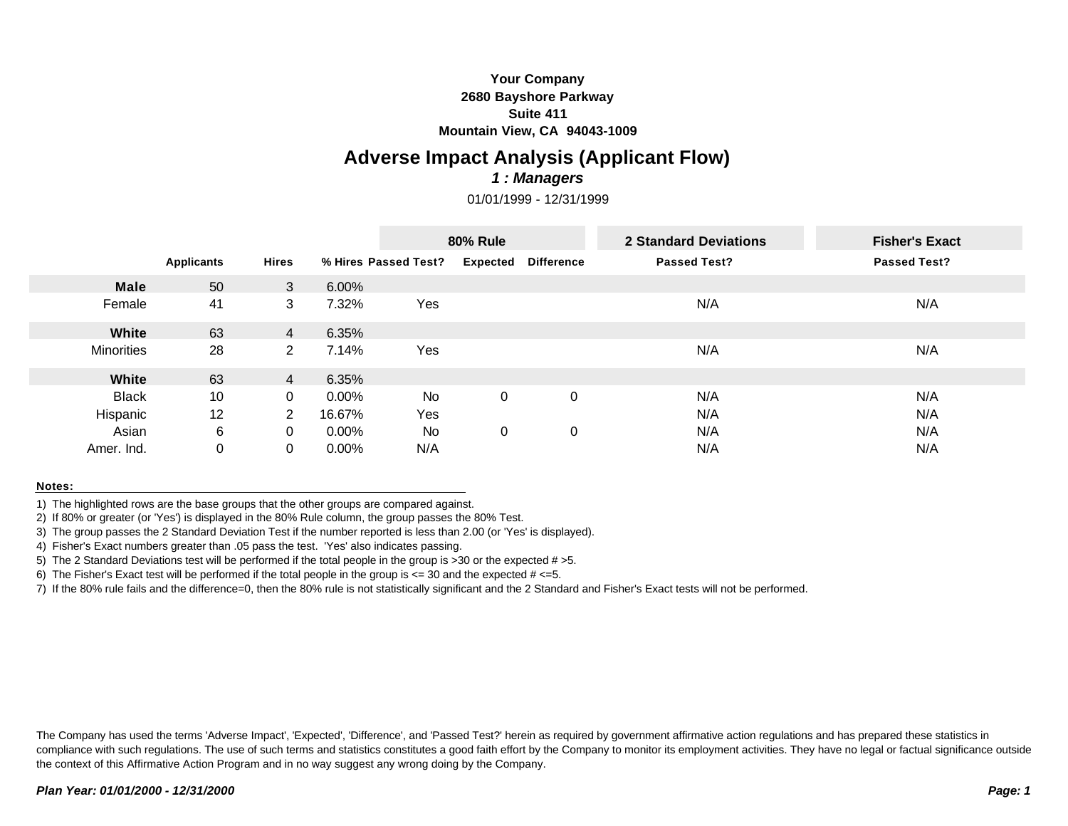## **Your Company 2680 Bayshore Parkway Suite 411 Mountain View, CA 94043-1009**

# **Adverse Impact Analysis (Applicant Flow)**

### *1 : Managers*

01/01/1999 - 12/31/1999

|                   |                   |                |          | <b>80% Rule</b>      |                 |                   | 2 Standard Deviations | <b>Fisher's Exact</b> |
|-------------------|-------------------|----------------|----------|----------------------|-----------------|-------------------|-----------------------|-----------------------|
|                   | <b>Applicants</b> | <b>Hires</b>   |          | % Hires Passed Test? | <b>Expected</b> | <b>Difference</b> | <b>Passed Test?</b>   | <b>Passed Test?</b>   |
| <b>Male</b>       | 50                | 3              | 6.00%    |                      |                 |                   |                       |                       |
| Female            | 41                | 3              | 7.32%    | Yes                  |                 |                   | N/A                   | N/A                   |
| White             | 63                | $\overline{4}$ | 6.35%    |                      |                 |                   |                       |                       |
| <b>Minorities</b> | 28                | $\mathbf{2}^-$ | 7.14%    | Yes                  |                 |                   | N/A                   | N/A                   |
| White             | 63                | $\overline{4}$ | 6.35%    |                      |                 |                   |                       |                       |
| <b>Black</b>      | 10                | $\Omega$       | $0.00\%$ | No                   | $\mathbf 0$     | 0                 | N/A                   | N/A                   |
| Hispanic          | 12                | 2              | 16.67%   | Yes                  |                 |                   | N/A                   | N/A                   |
| Asian             | 6                 | $\Omega$       | $0.00\%$ | No                   | 0               | 0                 | N/A                   | N/A                   |
| Amer. Ind.        | $\mathbf 0$       | 0              | $0.00\%$ | N/A                  |                 |                   | N/A                   | N/A                   |

#### **Notes:**

1) The highlighted rows are the base groups that the other groups are compared against.

2) If 80% or greater (or 'Yes') is displayed in the 80% Rule column, the group passes the 80% Test.

3) The group passes the 2 Standard Deviation Test if the number reported is less than 2.00 (or 'Yes' is displayed).

4) Fisher's Exact numbers greater than .05 pass the test. 'Yes' also indicates passing.

5) The 2 Standard Deviations test will be performed if the total people in the group is  $>30$  or the expected  $# > 5$ .

6) The Fisher's Exact test will be performed if the total people in the group is  $\epsilon$  = 30 and the expected  $\#$   $\epsilon$ =5.

7) If the 80% rule fails and the difference=0, then the 80% rule is not statistically significant and the 2 Standard and Fisher's Exact tests will not be performed.

The Company has used the terms 'Adverse Impact', 'Expected', 'Difference', and 'Passed Test?' herein as required by government affirmative action regulations and has prepared these statistics in compliance with such regulations. The use of such terms and statistics constitutes a good faith effort by the Company to monitor its employment activities. They have no legal or factual significance outside the context of this Affirmative Action Program and in no way suggest any wrong doing by the Company.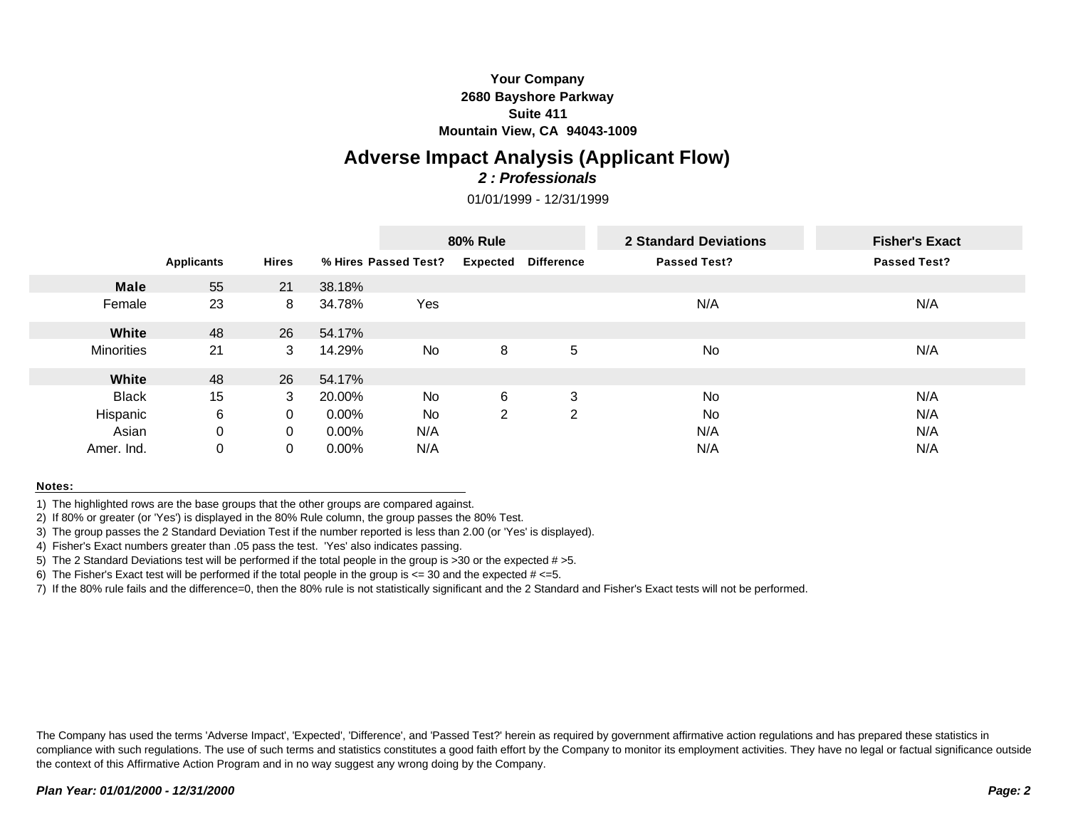## **Your Company 2680 Bayshore Parkway Suite 411 Mountain View, CA 94043-1009**

## **Adverse Impact Analysis (Applicant Flow)** *2 : Professionals*

01/01/1999 - 12/31/1999

|                   |                   |              |          | <b>80% Rule</b>      |                 |                   | <b>2 Standard Deviations</b> | <b>Fisher's Exact</b> |
|-------------------|-------------------|--------------|----------|----------------------|-----------------|-------------------|------------------------------|-----------------------|
|                   | <b>Applicants</b> | <b>Hires</b> |          | % Hires Passed Test? | <b>Expected</b> | <b>Difference</b> | <b>Passed Test?</b>          | <b>Passed Test?</b>   |
| <b>Male</b>       | 55                | 21           | 38.18%   |                      |                 |                   |                              |                       |
| Female            | 23                | 8            | 34.78%   | Yes                  |                 |                   | N/A                          | N/A                   |
| White             | 48                | 26           | 54.17%   |                      |                 |                   |                              |                       |
| <b>Minorities</b> | 21                | 3            | 14.29%   | No                   | 8               | 5                 | No                           | N/A                   |
| White             | 48                | 26           | 54.17%   |                      |                 |                   |                              |                       |
| <b>Black</b>      | 15                | 3            | 20.00%   | No                   | 6               | 3                 | No                           | N/A                   |
| Hispanic          | 6                 | $\Omega$     | $0.00\%$ | No                   | 2               | 2                 | No                           | N/A                   |
| Asian             | $\mathbf 0$       | $\Omega$     | $0.00\%$ | N/A                  |                 |                   | N/A                          | N/A                   |
| Amer. Ind.        | $\mathbf 0$       | 0            | $0.00\%$ | N/A                  |                 |                   | N/A                          | N/A                   |

#### **Notes:**

1) The highlighted rows are the base groups that the other groups are compared against.

2) If 80% or greater (or 'Yes') is displayed in the 80% Rule column, the group passes the 80% Test.

3) The group passes the 2 Standard Deviation Test if the number reported is less than 2.00 (or 'Yes' is displayed).

4) Fisher's Exact numbers greater than .05 pass the test. 'Yes' also indicates passing.

5) The 2 Standard Deviations test will be performed if the total people in the group is  $>30$  or the expected  $# > 5$ .

6) The Fisher's Exact test will be performed if the total people in the group is  $\epsilon$  = 30 and the expected  $\#$   $\epsilon$ =5.

7) If the 80% rule fails and the difference=0, then the 80% rule is not statistically significant and the 2 Standard and Fisher's Exact tests will not be performed.

The Company has used the terms 'Adverse Impact', 'Expected', 'Difference', and 'Passed Test?' herein as required by government affirmative action regulations and has prepared these statistics in compliance with such regulations. The use of such terms and statistics constitutes a good faith effort by the Company to monitor its employment activities. They have no legal or factual significance outside the context of this Affirmative Action Program and in no way suggest any wrong doing by the Company.